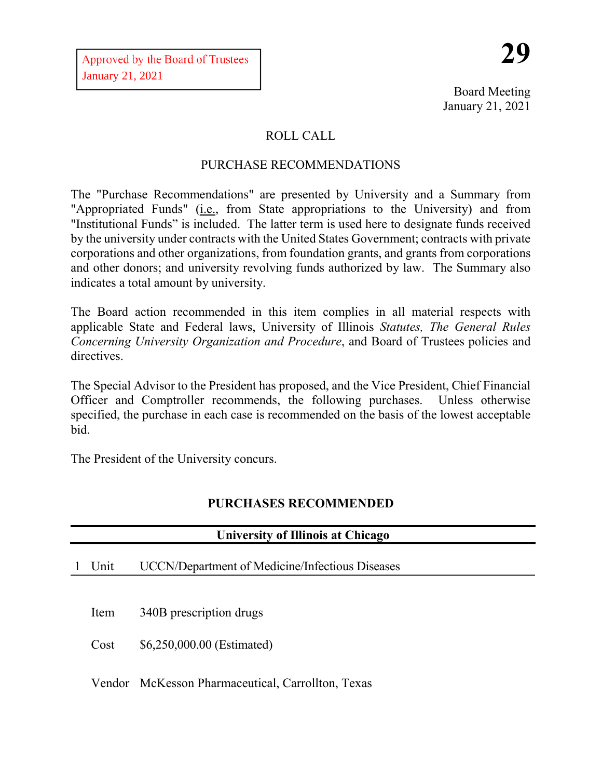Board Meeting January 21, 2021

# ROLL CALL

## PURCHASE RECOMMENDATIONS

The "Purchase Recommendations" are presented by University and a Summary from "Appropriated Funds" (i.e., from State appropriations to the University) and from "Institutional Funds" is included. The latter term is used here to designate funds received by the university under contracts with the United States Government; contracts with private corporations and other organizations, from foundation grants, and grants from corporations and other donors; and university revolving funds authorized by law. The Summary also indicates a total amount by university.

The Board action recommended in this item complies in all material respects with applicable State and Federal laws, University of Illinois *Statutes, The General Rules Concerning University Organization and Procedure*, and Board of Trustees policies and directives.

The Special Advisor to the President has proposed, and the Vice President, Chief Financial Officer and Comptroller recommends, the following purchases. Unless otherwise specified, the purchase in each case is recommended on the basis of the lowest acceptable bid.

The President of the University concurs.

# **PURCHASES RECOMMENDED**

| <b>University of Illinois at Chicago</b> |      |                                                        |  |  |  |
|------------------------------------------|------|--------------------------------------------------------|--|--|--|
|                                          | Unit | <b>UCCN/Department of Medicine/Infectious Diseases</b> |  |  |  |
|                                          |      |                                                        |  |  |  |
|                                          | Item | 340B prescription drugs                                |  |  |  |
|                                          | Cost | \$6,250,000.00 (Estimated)                             |  |  |  |
|                                          |      | Vendor McKesson Pharmaceutical, Carrollton, Texas      |  |  |  |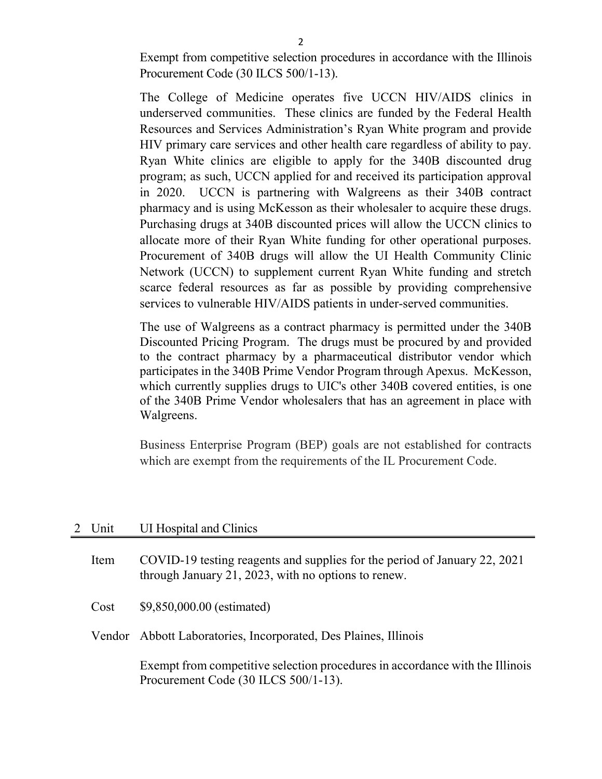Exempt from competitive selection procedures in accordance with the Illinois Procurement Code (30 ILCS 500/1-13).

The College of Medicine operates five UCCN HIV/AIDS clinics in underserved communities. These clinics are funded by the Federal Health Resources and Services Administration's Ryan White program and provide HIV primary care services and other health care regardless of ability to pay. Ryan White clinics are eligible to apply for the 340B discounted drug program; as such, UCCN applied for and received its participation approval in 2020. UCCN is partnering with Walgreens as their 340B contract pharmacy and is using McKesson as their wholesaler to acquire these drugs. Purchasing drugs at 340B discounted prices will allow the UCCN clinics to allocate more of their Ryan White funding for other operational purposes. Procurement of 340B drugs will allow the UI Health Community Clinic Network (UCCN) to supplement current Ryan White funding and stretch scarce federal resources as far as possible by providing comprehensive services to vulnerable HIV/AIDS patients in under-served communities.

The use of Walgreens as a contract pharmacy is permitted under the 340B Discounted Pricing Program. The drugs must be procured by and provided to the contract pharmacy by a pharmaceutical distributor vendor which participates in the 340B Prime Vendor Program through Apexus. McKesson, which currently supplies drugs to UIC's other 340B covered entities, is one of the 340B Prime Vendor wholesalers that has an agreement in place with Walgreens.

Business Enterprise Program (BEP) goals are not established for contracts which are exempt from the requirements of the IL Procurement Code.

#### 2 Unit UI Hospital and Clinics

| Item | COVID-19 testing reagents and supplies for the period of January 22, 2021<br>through January 21, 2023, with no options to renew. |
|------|----------------------------------------------------------------------------------------------------------------------------------|
| Cost | \$9,850,000.00 (estimated)                                                                                                       |
|      | Vendor Abbott Laboratories, Incorporated, Des Plaines, Illinois                                                                  |
|      | Exempt from competitive selection procedures in accordance with the Illinois<br>Procurement Code (30 ILCS 500/1-13).             |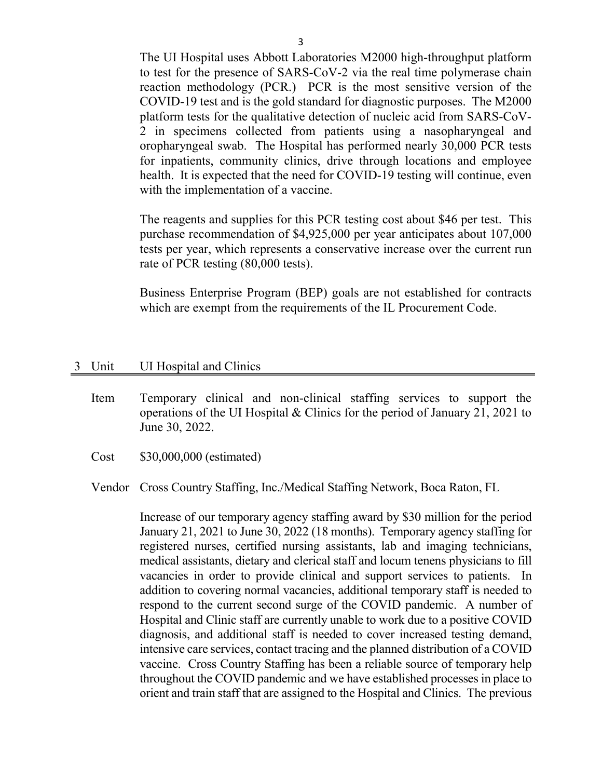The UI Hospital uses Abbott Laboratories M2000 high-throughput platform to test for the presence of SARS-CoV-2 via the real time polymerase chain reaction methodology (PCR.) PCR is the most sensitive version of the COVID-19 test and is the gold standard for diagnostic purposes. The M2000 platform tests for the qualitative detection of nucleic acid from SARS-CoV-2 in specimens collected from patients using a nasopharyngeal and oropharyngeal swab. The Hospital has performed nearly 30,000 PCR tests for inpatients, community clinics, drive through locations and employee health. It is expected that the need for COVID-19 testing will continue, even with the implementation of a vaccine.

The reagents and supplies for this PCR testing cost about \$46 per test. This purchase recommendation of \$4,925,000 per year anticipates about 107,000 tests per year, which represents a conservative increase over the current run rate of PCR testing (80,000 tests).

Business Enterprise Program (BEP) goals are not established for contracts which are exempt from the requirements of the IL Procurement Code.

#### 3 Unit UI Hospital and Clinics

- Item Temporary clinical and non-clinical staffing services to support the operations of the UI Hospital & Clinics for the period of January 21, 2021 to June 30, 2022.
- Cost \$30,000,000 (estimated)
- Vendor Cross Country Staffing, Inc./Medical Staffing Network, Boca Raton, FL

Increase of our temporary agency staffing award by \$30 million for the period January 21, 2021 to June 30, 2022 (18 months). Temporary agency staffing for registered nurses, certified nursing assistants, lab and imaging technicians, medical assistants, dietary and clerical staff and locum tenens physicians to fill vacancies in order to provide clinical and support services to patients. In addition to covering normal vacancies, additional temporary staff is needed to respond to the current second surge of the COVID pandemic. A number of Hospital and Clinic staff are currently unable to work due to a positive COVID diagnosis, and additional staff is needed to cover increased testing demand, intensive care services, contact tracing and the planned distribution of a COVID vaccine. Cross Country Staffing has been a reliable source of temporary help throughout the COVID pandemic and we have established processes in place to orient and train staff that are assigned to the Hospital and Clinics. The previous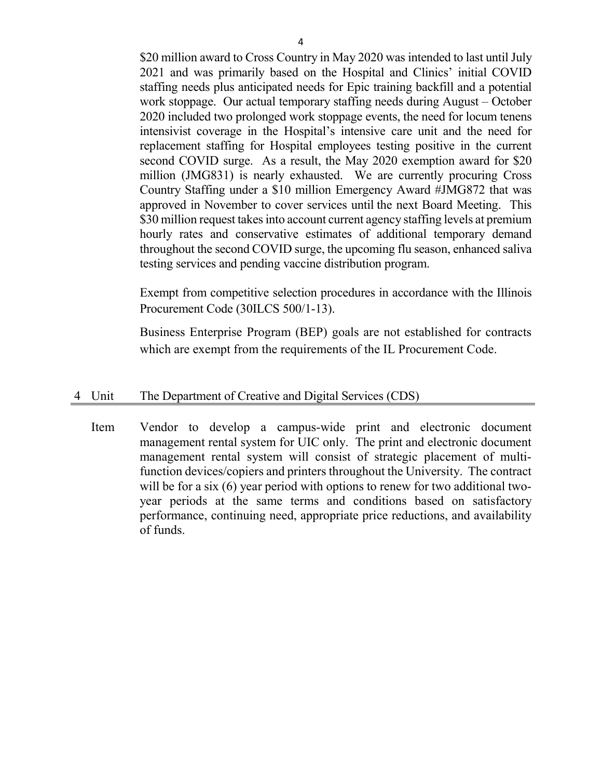\$20 million award to Cross Country in May 2020 was intended to last until July 2021 and was primarily based on the Hospital and Clinics' initial COVID staffing needs plus anticipated needs for Epic training backfill and a potential work stoppage. Our actual temporary staffing needs during August – October 2020 included two prolonged work stoppage events, the need for locum tenens intensivist coverage in the Hospital's intensive care unit and the need for replacement staffing for Hospital employees testing positive in the current second COVID surge. As a result, the May 2020 exemption award for \$20 million (JMG831) is nearly exhausted. We are currently procuring Cross Country Staffing under a \$10 million Emergency Award #JMG872 that was approved in November to cover services until the next Board Meeting. This \$30 million request takes into account current agency staffing levels at premium hourly rates and conservative estimates of additional temporary demand throughout the second COVID surge, the upcoming flu season, enhanced saliva testing services and pending vaccine distribution program.

Exempt from competitive selection procedures in accordance with the Illinois Procurement Code (30ILCS 500/1-13).

Business Enterprise Program (BEP) goals are not established for contracts which are exempt from the requirements of the IL Procurement Code.

#### 4 Unit The Department of Creative and Digital Services (CDS)

Item Vendor to develop a campus-wide print and electronic document management rental system for UIC only. The print and electronic document management rental system will consist of strategic placement of multifunction devices/copiers and printers throughout the University. The contract will be for a six (6) year period with options to renew for two additional twoyear periods at the same terms and conditions based on satisfactory performance, continuing need, appropriate price reductions, and availability of funds.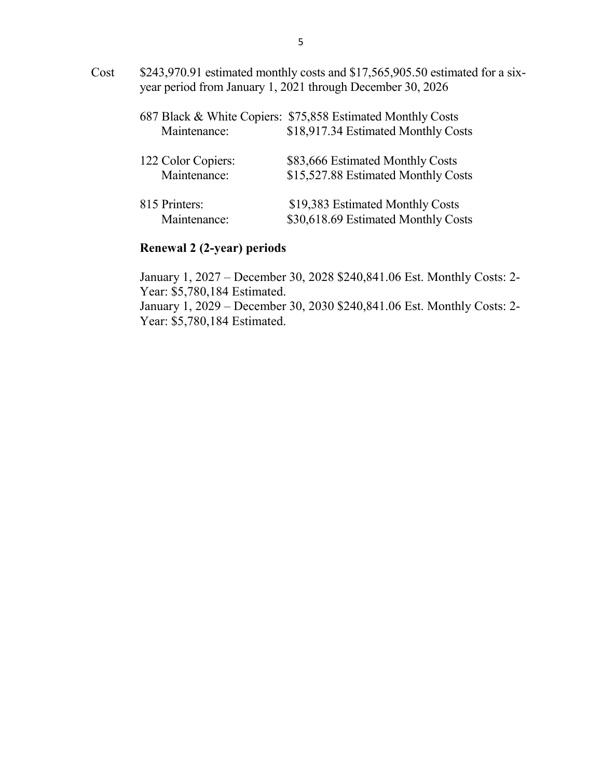Cost \$243,970.91 estimated monthly costs and \$17,565,905.50 estimated for a sixyear period from January 1, 2021 through December 30, 2026

|               | Maintenance:                       | 687 Black & White Copiers: \$75,858 Estimated Monthly Costs<br>\$18,917.34 Estimated Monthly Costs |
|---------------|------------------------------------|----------------------------------------------------------------------------------------------------|
|               | 122 Color Copiers:<br>Maintenance: | \$83,666 Estimated Monthly Costs<br>\$15,527.88 Estimated Monthly Costs                            |
| 815 Printers: | Maintenance:                       | \$19,383 Estimated Monthly Costs<br>\$30,618.69 Estimated Monthly Costs                            |

### **Renewal 2 (2-year) periods**

January 1, 2027 – December 30, 2028 \$240,841.06 Est. Monthly Costs: 2- Year: \$5,780,184 Estimated.

January 1, 2029 – December 30, 2030 \$240,841.06 Est. Monthly Costs: 2- Year: \$5,780,184 Estimated.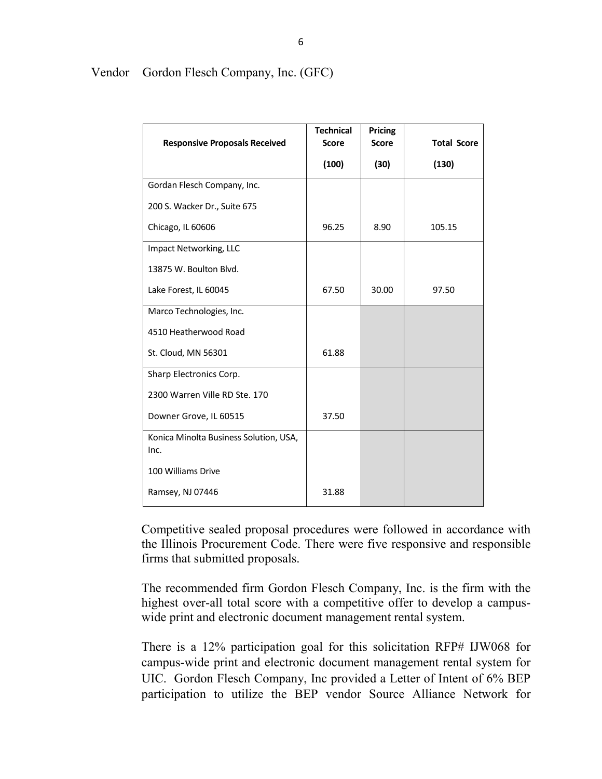|                                                | <b>Technical</b> | Pricing      |                    |
|------------------------------------------------|------------------|--------------|--------------------|
| <b>Responsive Proposals Received</b>           | <b>Score</b>     | <b>Score</b> | <b>Total Score</b> |
|                                                | (100)            | (30)         | (130)              |
| Gordan Flesch Company, Inc.                    |                  |              |                    |
| 200 S. Wacker Dr., Suite 675                   |                  |              |                    |
| Chicago, IL 60606                              | 96.25            | 8.90         | 105.15             |
| Impact Networking, LLC                         |                  |              |                    |
| 13875 W. Boulton Blvd.                         |                  |              |                    |
| Lake Forest, IL 60045                          | 67.50            | 30.00        | 97.50              |
| Marco Technologies, Inc.                       |                  |              |                    |
| 4510 Heatherwood Road                          |                  |              |                    |
| St. Cloud, MN 56301                            | 61.88            |              |                    |
| Sharp Electronics Corp.                        |                  |              |                    |
| 2300 Warren Ville RD Ste. 170                  |                  |              |                    |
| Downer Grove, IL 60515                         | 37.50            |              |                    |
| Konica Minolta Business Solution, USA,<br>Inc. |                  |              |                    |
| 100 Williams Drive                             |                  |              |                    |
| Ramsey, NJ 07446                               | 31.88            |              |                    |

### Vendor Gordon Flesch Company, Inc. (GFC)

Competitive sealed proposal procedures were followed in accordance with the Illinois Procurement Code. There were five responsive and responsible firms that submitted proposals.

The recommended firm Gordon Flesch Company, Inc. is the firm with the highest over-all total score with a competitive offer to develop a campuswide print and electronic document management rental system.

There is a 12% participation goal for this solicitation RFP# IJW068 for campus-wide print and electronic document management rental system for UIC. Gordon Flesch Company, Inc provided a Letter of Intent of 6% BEP participation to utilize the BEP vendor Source Alliance Network for